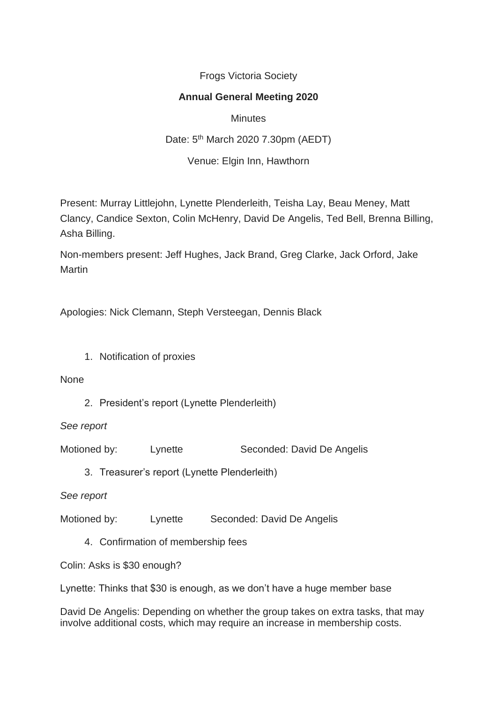Frogs Victoria Society

## **Annual General Meeting 2020**

**Minutes** Date: 5th March 2020 7.30pm (AEDT) Venue: Elgin Inn, Hawthorn

Present: Murray Littlejohn, Lynette Plenderleith, Teisha Lay, Beau Meney, Matt Clancy, Candice Sexton, Colin McHenry, David De Angelis, Ted Bell, Brenna Billing, Asha Billing.

Non-members present: Jeff Hughes, Jack Brand, Greg Clarke, Jack Orford, Jake Martin

Apologies: Nick Clemann, Steph Versteegan, Dennis Black

1. Notification of proxies

None

2. President's report (Lynette Plenderleith)

*See report*

- Motioned by: Lynette Seconded: David De Angelis
	- 3. Treasurer's report (Lynette Plenderleith)

*See report*

Motioned by: Lynette Seconded: David De Angelis

4. Confirmation of membership fees

Colin: Asks is \$30 enough?

Lynette: Thinks that \$30 is enough, as we don't have a huge member base

David De Angelis: Depending on whether the group takes on extra tasks, that may involve additional costs, which may require an increase in membership costs.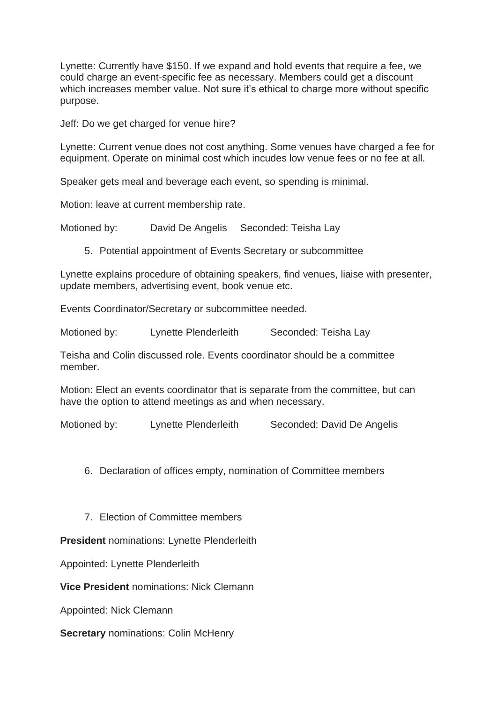Lynette: Currently have \$150. If we expand and hold events that require a fee, we could charge an event-specific fee as necessary. Members could get a discount which increases member value. Not sure it's ethical to charge more without specific purpose.

Jeff: Do we get charged for venue hire?

Lynette: Current venue does not cost anything. Some venues have charged a fee for equipment. Operate on minimal cost which incudes low venue fees or no fee at all.

Speaker gets meal and beverage each event, so spending is minimal.

Motion: leave at current membership rate.

Motioned by: David De Angelis Seconded: Teisha Lay

5. Potential appointment of Events Secretary or subcommittee

Lynette explains procedure of obtaining speakers, find venues, liaise with presenter, update members, advertising event, book venue etc.

Events Coordinator/Secretary or subcommittee needed.

Motioned by: Lynette Plenderleith Seconded: Teisha Lay

Teisha and Colin discussed role. Events coordinator should be a committee member.

Motion: Elect an events coordinator that is separate from the committee, but can have the option to attend meetings as and when necessary.

Motioned by: Lynette Plenderleith Seconded: David De Angelis

6. Declaration of offices empty, nomination of Committee members

7. Election of Committee members

**President** nominations: Lynette Plenderleith

Appointed: Lynette Plenderleith

**Vice President** nominations: Nick Clemann

Appointed: Nick Clemann

**Secretary** nominations: Colin McHenry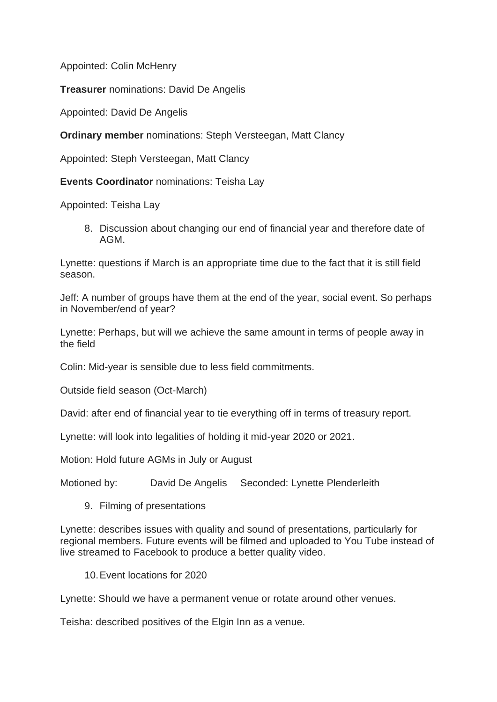Appointed: Colin McHenry

**Treasurer** nominations: David De Angelis

Appointed: David De Angelis

**Ordinary member** nominations: Steph Versteegan, Matt Clancy

Appointed: Steph Versteegan, Matt Clancy

**Events Coordinator** nominations: Teisha Lay

Appointed: Teisha Lay

8. Discussion about changing our end of financial year and therefore date of AGM.

Lynette: questions if March is an appropriate time due to the fact that it is still field season.

Jeff: A number of groups have them at the end of the year, social event. So perhaps in November/end of year?

Lynette: Perhaps, but will we achieve the same amount in terms of people away in the field

Colin: Mid-year is sensible due to less field commitments.

Outside field season (Oct-March)

David: after end of financial year to tie everything off in terms of treasury report.

Lynette: will look into legalities of holding it mid-year 2020 or 2021.

Motion: Hold future AGMs in July or August

Motioned by: David De Angelis Seconded: Lynette Plenderleith

9. Filming of presentations

Lynette: describes issues with quality and sound of presentations, particularly for regional members. Future events will be filmed and uploaded to You Tube instead of live streamed to Facebook to produce a better quality video.

10.Event locations for 2020

Lynette: Should we have a permanent venue or rotate around other venues.

Teisha: described positives of the Elgin Inn as a venue.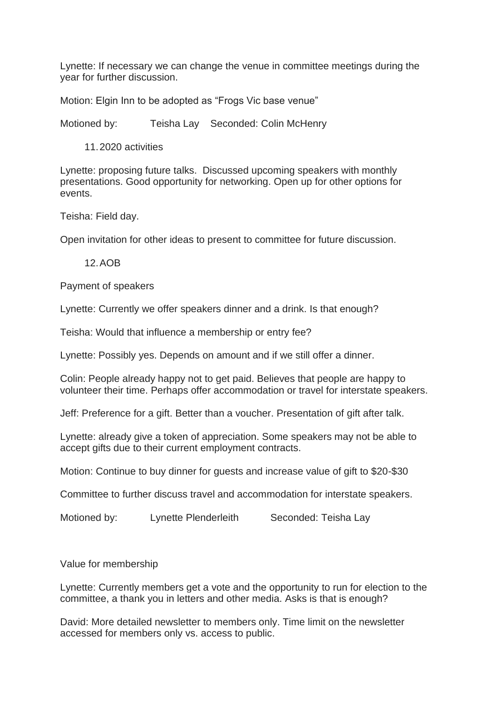Lynette: If necessary we can change the venue in committee meetings during the year for further discussion.

Motion: Elgin Inn to be adopted as "Frogs Vic base venue"

Motioned by: Teisha Lay Seconded: Colin McHenry

11.2020 activities

Lynette: proposing future talks. Discussed upcoming speakers with monthly presentations. Good opportunity for networking. Open up for other options for events.

Teisha: Field day.

Open invitation for other ideas to present to committee for future discussion.

12.AOB

Payment of speakers

Lynette: Currently we offer speakers dinner and a drink. Is that enough?

Teisha: Would that influence a membership or entry fee?

Lynette: Possibly yes. Depends on amount and if we still offer a dinner.

Colin: People already happy not to get paid. Believes that people are happy to volunteer their time. Perhaps offer accommodation or travel for interstate speakers.

Jeff: Preference for a gift. Better than a voucher. Presentation of gift after talk.

Lynette: already give a token of appreciation. Some speakers may not be able to accept gifts due to their current employment contracts.

Motion: Continue to buy dinner for quests and increase value of gift to \$20-\$30

Committee to further discuss travel and accommodation for interstate speakers.

Motioned by: Lynette Plenderleith Seconded: Teisha Lay

Value for membership

Lynette: Currently members get a vote and the opportunity to run for election to the committee, a thank you in letters and other media. Asks is that is enough?

David: More detailed newsletter to members only. Time limit on the newsletter accessed for members only vs. access to public.